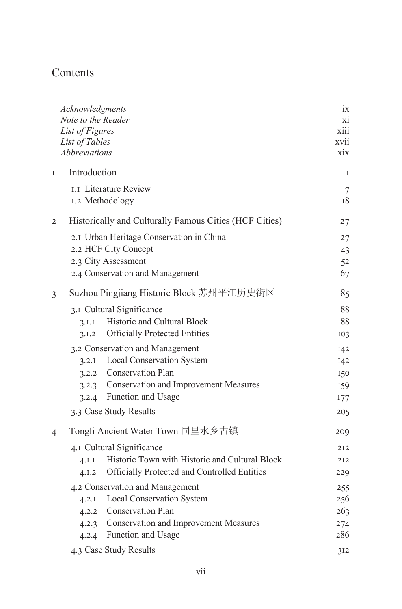## Contents

|                | Acknowledgments                          |                                                        | 1X             |
|----------------|------------------------------------------|--------------------------------------------------------|----------------|
|                | Note to the Reader                       |                                                        | xi             |
|                | List of Figures                          |                                                        | xiii           |
|                | List of Tables                           |                                                        | xvii           |
|                | Abbreviations                            |                                                        | xix            |
| $\mathbf I$    | Introduction                             |                                                        | I              |
|                |                                          | <b>1.1 Literature Review</b>                           | $\overline{7}$ |
|                | 1.2 Methodology                          |                                                        | 18             |
| $\overline{2}$ |                                          | Historically and Culturally Famous Cities (HCF Cities) | 27             |
|                | 2.1 Urban Heritage Conservation in China |                                                        | 27             |
|                | 2.2 HCF City Concept                     | 43                                                     |                |
|                | 2.3 City Assessment                      |                                                        | 52             |
|                |                                          | 2.4 Conservation and Management                        | 67             |
| 3              | Suzhou Pingjiang Historic Block 苏州平江历史街区 |                                                        | 85             |
|                |                                          | 3.1 Cultural Significance                              | 88             |
|                | 3.I.I                                    | Historic and Cultural Block                            | 88             |
|                | 3.1.2                                    | <b>Officially Protected Entities</b>                   | 103            |
|                | 3.2 Conservation and Management          |                                                        | 142            |
|                |                                          | 3.2.1 Local Conservation System                        | 142            |
|                |                                          | 3.2.2 Conservation Plan                                | 150            |
|                | 3.2.3                                    | <b>Conservation and Improvement Measures</b>           | 159            |
|                |                                          | 3.2.4 Function and Usage                               | 177            |
|                |                                          | 3.3 Case Study Results                                 | 205            |
| 4              | Tongli Ancient Water Town 同里水乡古镇         |                                                        | 209            |
|                | 4.1 Cultural Significance                |                                                        |                |
|                | 4.I.I                                    | Historic Town with Historic and Cultural Block         | 212            |
|                | 4.1.2                                    | Officially Protected and Controlled Entities           | 229            |
|                | 4.2 Conservation and Management          |                                                        | 255            |
|                |                                          | 4.2.1 Local Conservation System                        | 256            |
|                |                                          | 4.2.2 Conservation Plan                                | 263            |
|                |                                          | 4.2.3 Conservation and Improvement Measures            | 274            |
|                |                                          | 4.2.4 Function and Usage                               | 286            |
|                | 4.3 Case Study Results                   |                                                        | 312            |